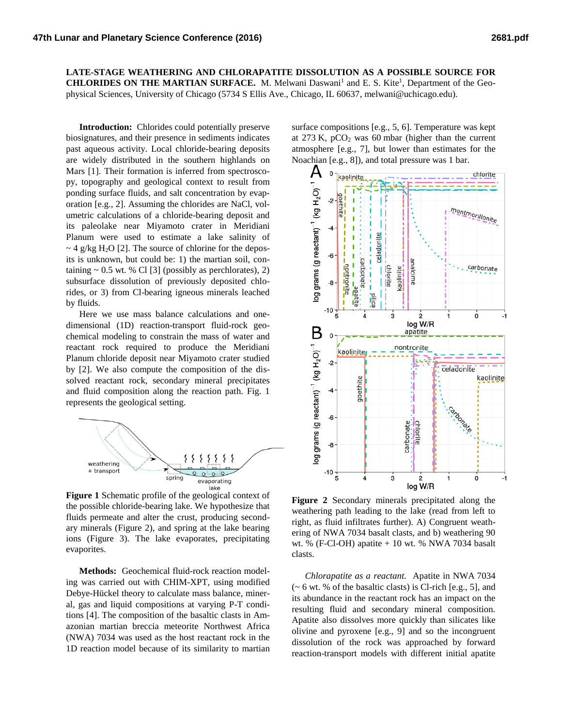**LATE-STAGE WEATHERING AND CHLORAPATITE DISSOLUTION AS A POSSIBLE SOURCE FOR CHLORIDES ON THE MARTIAN SURFACE.** M. Melwani Daswani<sup>1</sup> and E. S. Kite<sup>1</sup>, Department of the Geophysical Sciences, University of Chicago (5734 S Ellis Ave., Chicago, IL 60637, melwani@uchicago.edu).

**Introduction:** Chlorides could potentially preserve biosignatures, and their presence in sediments indicates past aqueous activity. Local chloride-bearing deposits are widely distributed in the southern highlands on Mars [1]. Their formation is inferred from spectroscopy, topography and geological context to result from ponding surface fluids, and salt concentration by evaporation [e.g., 2]. Assuming the chlorides are NaCl, volumetric calculations of a chloride-bearing deposit and its paleolake near Miyamoto crater in Meridiani Planum were used to estimate a lake salinity of  $\sim$  4 g/kg H<sub>2</sub>O [2]. The source of chlorine for the deposits is unknown, but could be: 1) the martian soil, containing  $\sim 0.5$  wt. % Cl [3] (possibly as perchlorates), 2) subsurface dissolution of previously deposited chlorides, or 3) from Cl-bearing igneous minerals leached by fluids.

Here we use mass balance calculations and onedimensional (1D) reaction-transport fluid-rock geochemical modeling to constrain the mass of water and reactant rock required to produce the Meridiani Planum chloride deposit near Miyamoto crater studied by [2]. We also compute the composition of the dissolved reactant rock, secondary mineral precipitates and fluid composition along the reaction path. Fig. 1 represents the geological setting.



**Figure 1** Schematic profile of the geological context of the possible chloride-bearing lake. We hypothesize that fluids permeate and alter the crust, producing secondary minerals (Figure 2), and spring at the lake bearing ions (Figure 3). The lake evaporates, precipitating evaporites.

**Methods:** Geochemical fluid-rock reaction modeling was carried out with CHIM-XPT, using modified Debye-Hückel theory to calculate mass balance, mineral, gas and liquid compositions at varying P-T conditions [4]. The composition of the basaltic clasts in Amazonian martian breccia meteorite Northwest Africa (NWA) 7034 was used as the host reactant rock in the 1D reaction model because of its similarity to martian

surface compositions [e.g., 5, 6]. Temperature was kept at  $273$  K,  $pCO<sub>2</sub>$  was 60 mbar (higher than the current atmosphere [e.g., 7], but lower than estimates for the Noachian [e.g., 8]), and total pressure was 1 bar.



**Figure 2** Secondary minerals precipitated along the weathering path leading to the lake (read from left to right, as fluid infiltrates further). A) Congruent weathering of NWA 7034 basalt clasts, and b) weathering 90 wt. % (F-Cl-OH) apatite + 10 wt. % NWA 7034 basalt clasts.

*Chlorapatite as a reactant.* Apatite in NWA 7034  $\sim$  6 wt. % of the basaltic clasts) is Cl-rich [e.g., 5], and its abundance in the reactant rock has an impact on the resulting fluid and secondary mineral composition. Apatite also dissolves more quickly than silicates like olivine and pyroxene [e.g., 9] and so the incongruent dissolution of the rock was approached by forward reaction-transport models with different initial apatite